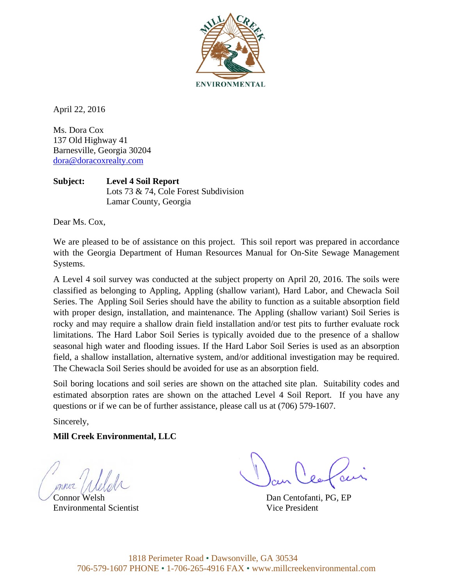

April 22, 2016

Ms. Dora Cox 137 Old Highway 41 Barnesville, Georgia 30204 dora@doracoxrealty.com

**Subject: Level 4 Soil Report** Lots 73 & 74, Cole Forest Subdivision Lamar County, Georgia

Dear Ms. Cox,

We are pleased to be of assistance on this project. This soil report was prepared in accordance with the Georgia Department of Human Resources Manual for On-Site Sewage Management Systems.

A Level 4 soil survey was conducted at the subject property on April 20, 2016. The soils were classified as belonging to Appling, Appling (shallow variant), Hard Labor, and Chewacla Soil Series. The Appling Soil Series should have the ability to function as a suitable absorption field with proper design, installation, and maintenance. The Appling (shallow variant) Soil Series is rocky and may require a shallow drain field installation and/or test pits to further evaluate rock limitations. The Hard Labor Soil Series is typically avoided due to the presence of a shallow seasonal high water and flooding issues. If the Hard Labor Soil Series is used as an absorption field, a shallow installation, alternative system, and/or additional investigation may be required. The Chewacla Soil Series should be avoided for use as an absorption field.

Soil boring locations and soil series are shown on the attached site plan. Suitability codes and estimated absorption rates are shown on the attached Level 4 Soil Report. If you have any questions or if we can be of further assistance, please call us at (706) 579-1607.

Sincerely,

**Mill Creek Environmental, LLC** 

Environmental Scientist Vice President

Connor Welsh Dan Centofanti, PG, EP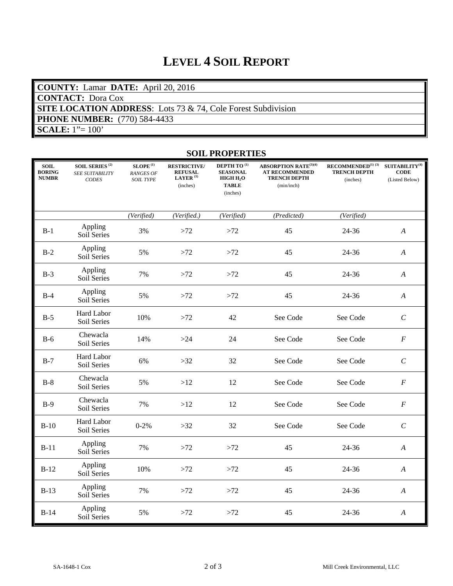# **LEVEL 4 SOIL REPORT**

**COUNTY:** Lamar **DATE:** April 20, 2016

## **CONTACT:** Dora Cox

**SITE LOCATION ADDRESS**: Lots 73 & 74, Cole Forest Subdivision

**PHONE NUMBER:** (770) 584-4433

**SCALE:**  $1" = 100"$ 

| <b>SOIL PROPERTIES</b>                       |                                                                            |                                                              |                                                                     |                                                                                 |                                                                                                        |                                                                 |                                                             |
|----------------------------------------------|----------------------------------------------------------------------------|--------------------------------------------------------------|---------------------------------------------------------------------|---------------------------------------------------------------------------------|--------------------------------------------------------------------------------------------------------|-----------------------------------------------------------------|-------------------------------------------------------------|
| <b>SOIL</b><br><b>BORING</b><br><b>NUMBR</b> | <b>SOIL SERIES<sup>(2)</sup></b><br><b>SEE SUITABILITY</b><br><b>CODES</b> | SLOPE <sup>(1)</sup><br><b>RANGES OF</b><br><b>SOIL TYPE</b> | <b>RESTRICTIVE/</b><br><b>REFUSAL</b><br>LAYER $^{(1)}$<br>(inches) | DEPTH TO $^{(1)}$<br><b>SEASONAL</b><br>HIGH $H_2O$<br><b>TABLE</b><br>(inches) | <b>ABSORPTION RATE</b> <sup>(3)(4)</sup><br><b>AT RECOMMENDED</b><br><b>TRENCH DEPTH</b><br>(min/inch) | $\rm RECOMMENDED^{(1)\,(3)}$<br><b>TRENCH DEPTH</b><br>(inches) | SUITABILITY <sup>(4)</sup><br><b>CODE</b><br>(Listed Below) |
|                                              |                                                                            | (Verified)                                                   | (Verified.)                                                         | (Verified)                                                                      | (Predicted)                                                                                            | (Verified)                                                      |                                                             |
| $B-1$                                        | Appling<br>Soil Series                                                     | 3%                                                           | >72                                                                 | >72                                                                             | 45                                                                                                     | 24-36                                                           | A                                                           |
| $B-2$                                        | Appling<br>Soil Series                                                     | 5%                                                           | >72                                                                 | >72                                                                             | 45                                                                                                     | 24-36                                                           | A                                                           |
| $B-3$                                        | Appling<br>Soil Series                                                     | 7%                                                           | >72                                                                 | >72                                                                             | 45                                                                                                     | 24-36                                                           | A                                                           |
| $B-4$                                        | Appling<br>Soil Series                                                     | 5%                                                           | >72                                                                 | >72                                                                             | 45                                                                                                     | 24-36                                                           | $\boldsymbol{A}$                                            |
| $B-5$                                        | Hard Labor<br>Soil Series                                                  | 10%                                                          | >72                                                                 | 42                                                                              | See Code                                                                                               | See Code                                                        | $\cal C$                                                    |
| $B-6$                                        | Chewacla<br>Soil Series                                                    | 14%                                                          | $>24$                                                               | 24                                                                              | See Code                                                                                               | See Code                                                        | $\cal F$                                                    |
| $B-7$                                        | Hard Labor<br>Soil Series                                                  | 6%                                                           | $>32$                                                               | 32                                                                              | See Code                                                                                               | See Code                                                        | $\cal C$                                                    |
| $B-8$                                        | Chewacla<br>Soil Series                                                    | 5%                                                           | >12                                                                 | 12                                                                              | See Code                                                                                               | See Code                                                        | $\boldsymbol{F}$                                            |
| $B-9$                                        | Chewacla<br>Soil Series                                                    | 7%                                                           | >12                                                                 | 12                                                                              | See Code                                                                                               | See Code                                                        | $\cal F$                                                    |
| $B-10$                                       | Hard Labor<br>Soil Series                                                  | $0 - 2%$                                                     | $>32$                                                               | 32                                                                              | See Code                                                                                               | See Code                                                        | $\cal C$                                                    |
| $B-11$                                       | Appling<br>Soil Series                                                     | 7%                                                           | >72                                                                 | >72                                                                             | 45                                                                                                     | 24-36                                                           | A                                                           |
| $B-12$                                       | Appling<br>Soil Series                                                     | 10%                                                          | >72                                                                 | >72                                                                             | 45                                                                                                     | 24-36                                                           | $\boldsymbol{A}$                                            |
| $B-13$                                       | Appling<br>Soil Series                                                     | 7%                                                           | >72                                                                 | >72                                                                             | 45                                                                                                     | 24-36                                                           | A                                                           |
| $B-14$                                       | Appling<br>Soil Series                                                     | 5%                                                           | >72                                                                 | >72                                                                             | 45                                                                                                     | 24-36                                                           | A                                                           |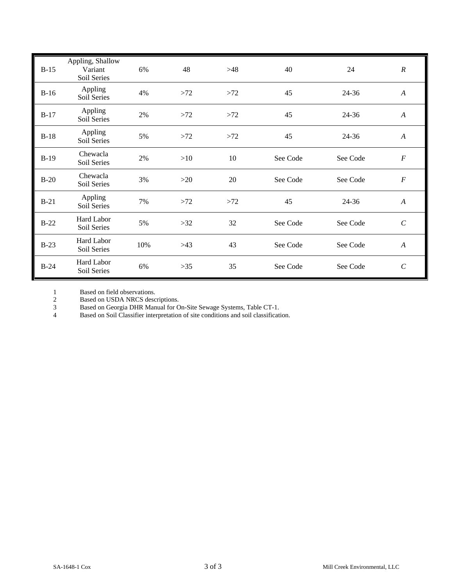| $B-15$ | Appling, Shallow<br>Variant<br>Soil Series | 6%  | 48    | >48 | 40       | 24       | $\boldsymbol{R}$ |
|--------|--------------------------------------------|-----|-------|-----|----------|----------|------------------|
| $B-16$ | Appling<br>Soil Series                     | 4%  | >72   | >72 | 45       | 24-36    | $\boldsymbol{A}$ |
| $B-17$ | Appling<br>Soil Series                     | 2%  | >72   | >72 | 45       | 24-36    | $\boldsymbol{A}$ |
| $B-18$ | Appling<br>Soil Series                     | 5%  | >72   | >72 | 45       | 24-36    | $\boldsymbol{A}$ |
| $B-19$ | Chewacla<br>Soil Series                    | 2%  | >10   | 10  | See Code | See Code | $\boldsymbol{F}$ |
| $B-20$ | Chewacla<br>Soil Series                    | 3%  | >20   | 20  | See Code | See Code | $\boldsymbol{F}$ |
| $B-21$ | Appling<br>Soil Series                     | 7%  | >72   | >72 | 45       | 24-36    | $\boldsymbol{A}$ |
| $B-22$ | Hard Labor<br>Soil Series                  | 5%  | $>32$ | 32  | See Code | See Code | $\cal C$         |
| $B-23$ | Hard Labor<br>Soil Series                  | 10% | >43   | 43  | See Code | See Code | $\boldsymbol{A}$ |
| $B-24$ | Hard Labor<br>Soil Series                  | 6%  | $>35$ | 35  | See Code | See Code | $\mathcal{C}$    |

1 Based on field observations.<br>2 Based on USDA NRCS desc

2 Based on USDA NRCS descriptions.

3 Based on Georgia DHR Manual for On-Site Sewage Systems, Table CT-1.

4 Based on Soil Classifier interpretation of site conditions and soil classification.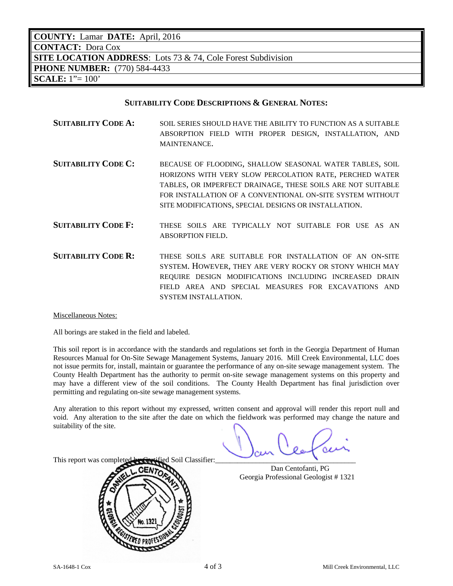### **SUITABILITY CODE DESCRIPTIONS & GENERAL NOTES:**

| <b>SUITABILITY CODE A:</b> | SOIL SERIES SHOULD HAVE THE ABILITY TO FUNCTION AS A SUITABLE<br>ABSORPTION FIELD WITH PROPER DESIGN, INSTALLATION, AND<br>MAINTENANCE.                                                                                                                                                                 |
|----------------------------|---------------------------------------------------------------------------------------------------------------------------------------------------------------------------------------------------------------------------------------------------------------------------------------------------------|
| <b>SUITABILITY CODE C:</b> | BECAUSE OF FLOODING, SHALLOW SEASONAL WATER TABLES, SOIL<br>HORIZONS WITH VERY SLOW PERCOLATION RATE, PERCHED WATER<br>TABLES, OR IMPERFECT DRAINAGE, THESE SOILS ARE NOT SUITABLE<br>FOR INSTALLATION OF A CONVENTIONAL ON-SITE SYSTEM WITHOUT<br>SITE MODIFICATIONS, SPECIAL DESIGNS OR INSTALLATION. |
| <b>SUITABILITY CODE F:</b> | THESE SOILS ARE TYPICALLY NOT SUITABLE FOR USE AS AN<br><b>ABSORPTION FIELD.</b>                                                                                                                                                                                                                        |
| <b>SUITABILITY CODE R:</b> | THESE SOILS ARE SUITABLE FOR INSTALLATION OF AN ON-SITE<br>SYSTEM. HOWEVER, THEY ARE VERY ROCKY OR STONY WHICH MAY<br>REQUIRE DESIGN MODIFICATIONS INCLUDING INCREASED DRAIN<br>FIELD AREA AND SPECIAL MEASURES FOR EXCAVATIONS AND<br><b>SYSTEM INSTALLATION.</b>                                      |

#### Miscellaneous Notes:

All borings are staked in the field and labeled.

This soil report is in accordance with the standards and regulations set forth in the Georgia Department of Human Resources Manual for On-Site Sewage Management Systems, January 2016. Mill Creek Environmental, LLC does not issue permits for, install, maintain or guarantee the performance of any on-site sewage management system. The County Health Department has the authority to permit on-site sewage management systems on this property and may have a different view of the soil conditions. The County Health Department has final jurisdiction over permitting and regulating on-site sewage management systems.

Any alteration to this report without my expressed, written consent and approval will render this report null and void. Any alteration to the site after the date on which the fieldwork was performed may change the nature and suitability of the site.

This report was completed by Certified Soil Classifier:



Dan Centofanti, PG Georgia Professional Geologist # 1321